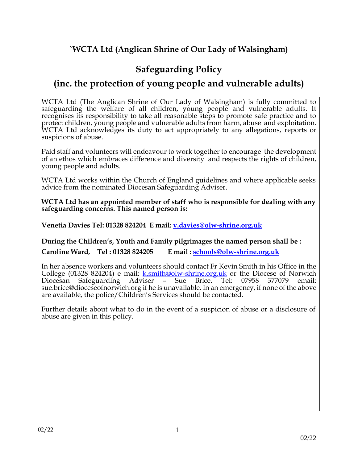# **`WCTA Ltd (Anglican Shrine of Our Lady of Walsingham)**

# **Safeguarding Policy**

# **(inc. the protection of young people and vulnerable adults)**

WCTA Ltd (The Anglican Shrine of Our Lady of Walsingham) is fully committed to safeguarding the welfare of all children, young people and vulnerable adults. It recognises its responsibility to take all reasonable steps to promote safe practice and to protect children, young people and vulnerable adults from harm, abuse and exploitation. WCTA Ltd acknowledges its duty to act appropriately to any allegations, reports or suspicions of abuse.

Paid staff and volunteers will endeavour to work together to encourage the development of an ethos which embraces difference and diversity and respects the rights of children, young people and adults.

WCTA Ltd works within the Church of England guidelines and where applicable seeks advice from the nominated Diocesan Safeguarding Adviser.

**WCTA Ltd has an appointed member of staff who is responsible for dealing with any safeguarding concerns. This named person is:**

**Venetia Davies Tel: 01328 824204 E mail: [v.davies@olw-shrine.org.uk](mailto:v.davies@olw-shrine.org.uk)**

**During the Children's, Youth and Family pilgrimages the named person shall be : Caroline Ward, Tel : 01328 824205 E mail : [schools@olw-shrine.org.uk](mailto:schools@olw-shrine.org.uk)**

In her absence workers and volunteers should contact Fr Kevin Smith in his Office in the College (01328 824204) e mail: [k.smith@olw-shrine.org.uk](mailto:k.smith@olw-shrine.org.uk) or the Diocese of Norwich Diocesan Safeguarding Adviser – Sue Brice. Tel: 07958 377079 email: [sue.brice@dioceseofnorwich.org](mailto:sue.brice@dioceseofnorwich.org) if he is unavailable. In an emergency, if none of the above are available, the police/Children's Services should be contacted.

Further details about what to do in the event of a suspicion of abuse or a disclosure of abuse are given in this policy.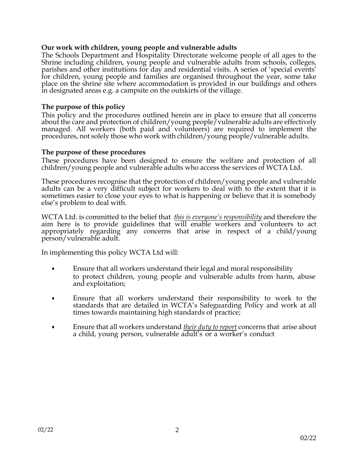# **Our work with children, young people and vulnerable adults**

The Schools Department and Hospitality Directorate welcome people of all ages to the Shrine including children, young people and vulnerable adults from schools, colleges, parishes and other institutions for day and residential visits. A series of 'special events' for children, young people and families are organised throughout the year, some take place on the shrine site where accommodation is provided in our buildings and others in designated areas e.g. a campsite on the outskirts of the village.

### **The purpose of this policy**

This policy and the procedures outlined herein are in place to ensure that all concerns about the care and protection of children/young people/vulnerable adults are effectively managed. All workers (both paid and volunteers) are required to implement the procedures, not solely those who work with children/young people/vulnerable adults.

### **The purpose of these procedures**

These procedures have been designed to ensure the welfare and protection of all children/young people and vulnerable adults who access the services of WCTA Ltd.

These procedures recognise that the protection of children/young people and vulnerable adults can be a very difficult subject for workers to deal with to the extent that it is sometimes easier to close your eyes to what is happening or believe that it is somebody else's problem to deal with.

WCTA Ltd. is committed to the belief that *this is everyone's responsibility* and therefore the aim here is to provide guidelines that will enable workers and volunteers to act appropriately regarding any concerns that arise in respect of a child/young person/vulnerable adult.

In implementing this policy WCTA Ltd will:

- Ensure that all workers understand their legal and moral responsibility to protect children, young people and vulnerable adults from harm, abuse and exploitation;
- Ensure that all workers understand their responsibility to work to the standards that are detailed in WCTA's Safeguarding Policy and work at all times towards maintaining high standards of practice;
- Ensure that all workers understand *their duty to report* concerns that arise about a child, young person, vulnerable adult's or a worker's conduct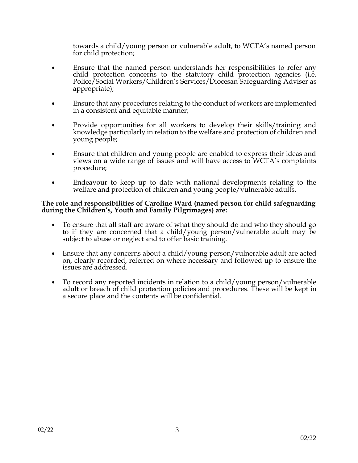towards a child/young person or vulnerable adult, to WCTA's named person for child protection;

- Ensure that the named person understands her responsibilities to refer any child protection concerns to the statutory child protection agencies (i.e. Police/Social Workers/Children's Services/Diocesan Safeguarding Adviser as appropriate);
- Ensure that any procedures relating to the conduct of workers are implemented in a consistent and equitable manner;
- Provide opportunities for all workers to develop their skills/training and knowledge particularly in relation to the welfare and protection of children and young people;
- Ensure that children and young people are enabled to express their ideas and views on a wide range of issues and will have access to WCTA's complaints procedure;
- Endeavour to keep up to date with national developments relating to the welfare and protection of children and young people/vulnerable adults.

#### **The role and responsibilities of Caroline Ward (named person for child safeguarding during the Children's, Youth and Family Pilgrimages) are:**

- To ensure that all staff are aware of what they should do and who they should go to if they are concerned that a child/young person/vulnerable adult may be subject to abuse or neglect and to offer basic training.
- Ensure that any concerns about a child/young person/vulnerable adult are acted on, clearly recorded, referred on where necessary and followed up to ensure the issues are addressed.
- To record any reported incidents in relation to a child/young person/vulnerable adult or breach of child protection policies and procedures. These will be kept in a secure place and the contents will be confidential.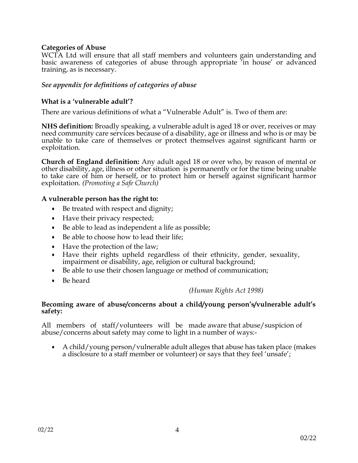# **Categories of Abuse**

WCTA Ltd will ensure that all staff members and volunteers gain understanding and basic awareness of categories of abuse through appropriate 'in house' or advanced training, as is necessary.

## *See appendix for definitions of categories of abuse*

## **What is a 'vulnerable adult'?**

There are various definitions of what a "Vulnerable Adult" is. Two of them are:

**NHS definition:** Broadly speaking, a vulnerable adult is aged 18 or over, receives or may need community care services because of a disability, age or illness and who is or may be unable to take care of themselves or protect themselves against significant harm or exploitation.

**Church of England definition:** Any adult aged 18 or over who, by reason of mental or other disability, age, illness or other situation is permanently or for the time being unable to take care of him or herself, or to protect him or herself against significant harmor exploitation. *(Promoting a Safe Church)*

### **A vulnerable person has the right to:**

- Be treated with respect and dignity;
- Have their privacy respected;
- Be able to lead as independent a life as possible;
- Be able to choose how to lead their life;
- Have the protection of the law;
- Have their rights upheld regardless of their ethnicity, gender, sexuality, impairment or disability, age, religion or cultural background;
- Be able to use their chosen language or method of communication;
- Be heard

### *(Human Rights Act 1998)*

#### **Becoming aware of abuse/concerns about a child/young person's/vulnerable adult's safety:**

All members of staff/volunteers will be made aware that abuse/suspicion of abuse/concerns about safety may come to light in a number of ways:-

• A child/young person/vulnerable adult alleges that abuse has taken place (makes a disclosure to a staff member or volunteer) or says that they feel 'unsafe';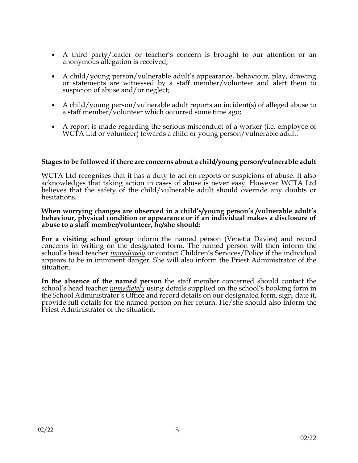- A third party/leader or teacher's concern is brought to our attention or an anonymous allegation is received;
- A child/young person/vulnerable adult's appearance, behaviour, play, drawing or statements are witnessed by a staff member/volunteer and alert them to suspicion of abuse and/or neglect;
- A child/young person/vulnerable adult reports an incident(s) of alleged abuse to a staff member/volunteer which occurred some time ago;
- A report is made regarding the serious misconduct of a worker (i.e. employee of WCTA Ltd or volunteer) towards a child or young person/vulnerable adult.

#### **Stages to be followed if there are concerns about a child/young person/vulnerable adult**

WCTA Ltd recognises that it has a duty to act on reports or suspicions of abuse. It also acknowledges that taking action in cases of abuse is never easy. However WCTA Ltd believes that the safety of the child/vulnerable adult should override any doubts or hesitations.

#### **When worrying changes are observed in a child's/young person's /vulnerable adult's behaviour, physical condition or appearance or if an individual makes a disclosure of abuse to a staff member/volunteer, he/she should:**

**For a visiting school group** inform the named person (Venetia Davies) and record concerns in writing on the designated form. The named person will then inform the school's head teacher *immediately* or contact Children's Services/Police if the individual appears to be in imminent danger. She will also inform the Priest Administrator of the situation.

**In the absence of the named person** the staff member concerned should contact the school's head teacher *immediately* using details supplied on the school's booking form in the School Administrator's Office and record details on our designated form, sign, date it, provide full details for the named person on her return. He/she should also inform the Priest Administrator of the situation.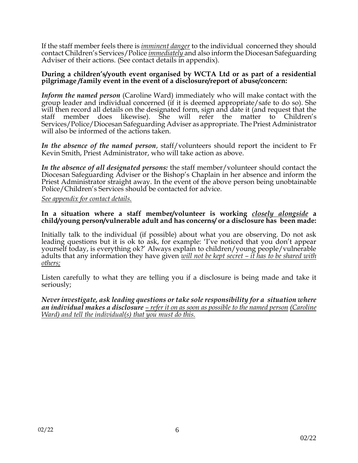If the staff member feels there is *imminent danger* to the individual concerned they should contact Children's Services/Police *immediately* and also inform the Diocesan Safeguarding Adviser of their actions. (See contact details in appendix).

#### **During a children's/youth event organised by WCTA Ltd or as part of a residential pilgrimage /family event in the event of a disclosure/report of abuse/concern:**

*Inform the named person* (Caroline Ward) immediately who will make contact with the group leader and individual concerned (if it is deemed appropriate/safe to do so). She will then record all details on the designated form, sign and date it (and request that the staff member does likewise). She will refer the matter to Children's Services/Police/Diocesan Safeguarding Adviser as appropriate. The Priest Administrator will also be informed of the actions taken.

*In the absence of the named person*, staff/volunteers should report the incident to Fr Kevin Smith, Priest Administrator, who will take action as above.

*In the absence of all designated persons:* the staff member/volunteer should contact the Diocesan Safeguarding Adviser or the Bishop's Chaplain in her absence and inform the Priest Administrator straight away. In the event of the above person being unobtainable Police/Children's Services should be contacted for advice.

*See appendix for contact details.*

#### **In a situation where a staff member/volunteer is working** *closely alongside* **a child/young person/vulnerable adult and has concerns/ or a disclosure has been made:**

Initially talk to the individual (if possible) about what you are observing. Do not ask leading questions but it is ok to ask, for example: 'I've noticed that you don't appear yourself today, is everything ok?' Always explain to children/young people/vulnerable adults that any information they have given *will not be kept secret – it has to be shared with others;*

Listen carefully to what they are telling you if a disclosure is being made and take it seriously;

*Never investigate, ask leading questions or take sole responsibility for a situation where an individual makes a disclosure – refer it on as soon as possible to the named person (Caroline Ward) and tell the individual(s) that you must do this.*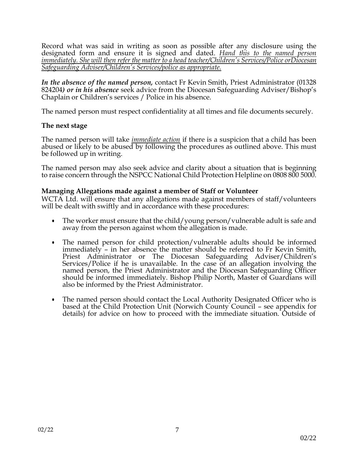Record what was said in writing as soon as possible after any disclosure using the designated form and ensure it is signed and dated. *Hand this to the named person immediately. She will then refer the matter to a head teacher/Children's Services/Police orDiocesan Safeguarding Adviser/Children's Services/police as appropriate.*

*In the absence of the named person,* contact Fr Kevin Smith, Priest Administrator (01328 824204*) or in his absence* seek advice from the Diocesan Safeguarding Adviser/Bishop's Chaplain or Children's services / Police in his absence.

The named person must respect confidentiality at all times and file documents securely.

# **The next stage**

The named person will take *immediate action* if there is a suspicion that a child has been abused or likely to be abused by following the procedures as outlined above. This must be followed up in writing.

The named person may also seek advice and clarity about a situation that is beginning to raise concern through the NSPCC National Child Protection Helpline on 0808 800 5000.

### **Managing Allegations made against a member of Staff or Volunteer**

WCTA Ltd. will ensure that any allegations made against members of staff/volunteers will be dealt with swiftly and in accordance with these procedures:

- The worker must ensure that the child/young person/vulnerable adult is safe and away from the person against whom the allegation is made.
- The named person for child protection/vulnerable adults should be informed immediately – in her absence the matter should be referred to Fr Kevin Smith, Priest Administrator or The Diocesan Safeguarding Adviser/Children's Services/Police if he is unavailable. In the case of an allegation involving the named person, the Priest Administrator and the Diocesan Safeguarding Officer should be informed immediately. Bishop Philip North, Master of Guardians will also be informed by the Priest Administrator.
- The named person should contact the Local Authority Designated Officer who is based at the Child Protection Unit (Norwich County Council – see appendix for details) for advice on how to proceed with the immediate situation. Outside of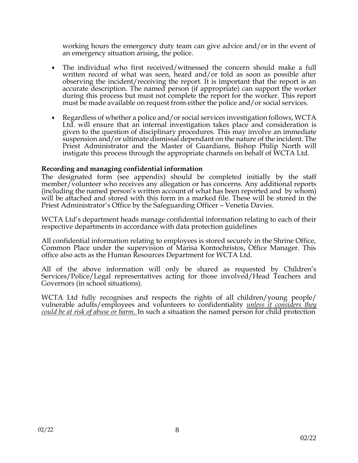working hours the emergency duty team can give advice and/or in the event of an emergency situation arising, the police.

- The individual who first received/witnessed the concern should make a full written record of what was seen, heard and/or told as soon as possible after observing the incident/receiving the report. It is important that the report is an accurate description. The named person (if appropriate) can support the worker during this process but must not complete the report for the worker. This report must be made available on request from either the police and/or social services.
- Regardless of whether a police and/or social services investigation follows, WCTA Ltd. will ensure that an internal investigation takes place and consideration is given to the question of disciplinary procedures. This may involve an immediate suspension and/or ultimate dismissal dependant on the nature of the incident. The Priest Administrator and the Master of Guardians, Bishop Philip North will instigate this process through the appropriate channels on behalf of WCTA Ltd.

# **Recording and managing confidential information**

The designated form (see appendix) should be completed initially by the staff member/volunteer who receives any allegation or has concerns. Any additional reports (including the named person's written account of what has been reported and by whom) will be attached and stored with this form in a marked file. These will be stored in the Priest Administrator's Office by the Safeguarding Officer – Venetia Davies.

WCTA Ltd's department heads manage confidential information relating to each of their respective departments in accordance with data protection guidelines

All confidential information relating to employees is stored securely in the Shrine Office, Common Place under the supervision of Marisa Kontochristos, Office Manager. This office also acts as the Human Resources Department for WCTA Ltd.

All of the above information will only be shared as requested by Children's Services/Police/Legal representatives acting for those involved/Head Teachers and Governors (in school situations).

WCTA Ltd fully recognises and respects the rights of all children/young people/ vulnerable adults/employees and volunteers to confidentiality *unless it considers they could be at risk of abuse or harm.* In such a situation the named person for child protection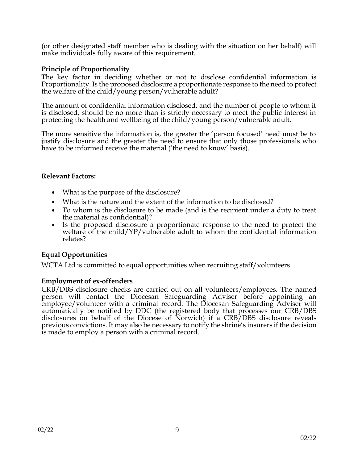(or other designated staff member who is dealing with the situation on her behalf) will make individuals fully aware of this requirement.

## **Principle of Proportionality**

The key factor in deciding whether or not to disclose confidential information is Proportionality. Is the proposed disclosure a proportionate response to the need to protect the welfare of the child/young person/vulnerable adult?

The amount of confidential information disclosed, and the number of people to whom it is disclosed, should be no more than is strictly necessary to meet the public interest in protecting the health and wellbeing of the child/young person/vulnerable adult.

The more sensitive the information is, the greater the 'person focused' need must be to justify disclosure and the greater the need to ensure that only those professionals who have to be informed receive the material ('the need to know' basis).

### **Relevant Factors:**

- What is the purpose of the disclosure?
- What is the nature and the extent of the information to be disclosed?
- To whom is the disclosure to be made (and is the recipient under a duty to treat the material as confidential)?
- Is the proposed disclosure a proportionate response to the need to protect the welfare of the child/YP/vulnerable adult to whom the confidential information relates?

# **Equal Opportunities**

WCTA Ltd is committed to equal opportunities when recruiting staff/volunteers.

# **Employment of ex-offenders**

CRB/DBS disclosure checks are carried out on all volunteers/employees. The named person will contact the Diocesan Safeguarding Adviser before appointing an employee/volunteer with a criminal record. The Diocesan Safeguarding Adviser will automatically be notified by DDC (the registered body that processes our CRB/DBS disclosures on behalf of the Diocese of Norwich) if a CRB/DBS disclosure reveals previous convictions. It may also be necessary to notify the shrine's insurers if the decision is made to employ a person with a criminal record.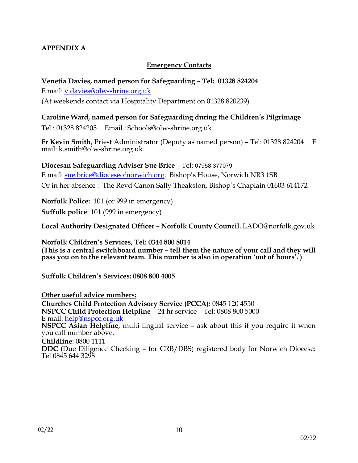# **APPENDIX A**

# **Emergency Contacts**

# **Venetia Davies, named person for Safeguarding – Tel: 01328 824204**

E mail: [v.davies@olw-shrine.org.uk](mailto:v.davies@olw-shrine.org.uk)

(At weekends contact via Hospitality Department on 01328 820239)

# **Caroline Ward, named person for Safeguarding during the Children's Pilgrimage**

Tel : 01328 824205 Email : [Schools@olw-shrine.org.uk](mailto:Schools@olw-shrine.org.uk)

**Fr Kevin Smith,** Priest Administrator (Deputy as named person) – Tel: 01328 824204 E mail: [k.smith@olw-shrine.org.uk](mailto:k.smith@olw-shrine.org.uk)

**Diocesan Safeguarding Adviser Sue Brice** – Tel: 07958 377079 E mail: [sue.brice@dioceseofnorwich.org.](mailto:sue.brice@dioceseofnorwich.org) Bishop's House, Norwich NR3 1SB

Or in her absence : The Revd Canon Sally Theakston, Bishop's Chaplain 01603 614172

**Norfolk Police:** 101 (or 999 in emergency)

**Suffolk police**: 101 (999 in emergency)

**Local Authority Designated Officer – Norfolk County Council.** [LADO@norfolk.gov.uk](mailto:LADO@norfolk.gov.uk)

**Norfolk Children's Services, Tel: 0344 800 8014 (This is a central switchboard number – tell them the nature of your call and they will pass you on to the relevant team. This number is also in operation 'out of hours'. )**

**Suffolk Children's Services: 0808 800 4005**

### **Other useful advice numbers:**

**Churches Child Protection Advisory Service (PCCA):** 0845 120 4550 **NSPCC Child Protection Helpline** – 24 hr service – Tel: 0808 800 5000 E mail: [help@nspcc.org.uk](mailto:help@nspcc.org.uk) **NSPCC Asian Helpline**, multi lingual service – ask about this if you require it when you call number above. **Childline**: 0800 1111 **DDC (**Due Diligence Checking – for CRB/DBS) registered body for Norwich Diocese: Tel 0845 644 3298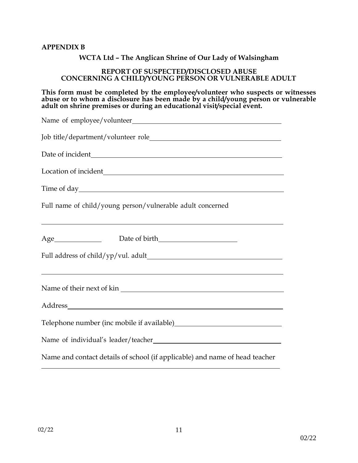#### **APPENDIX B**

#### **WCTA Ltd – The Anglican Shrine of Our Lady of Walsingham**

#### **REPORT OF SUSPECTED/DISCLOSED ABUSE CONCERNING A CHILD/YOUNG PERSON OR VULNERABLE ADULT**

**This form must be completed by the employee/volunteer who suspects or witnesses abuse or to whom a disclosure has been made by a child/young person or vulnerable adult on shrine premises or during an educational visit/special event.**

| Full name of child/young person/vulnerable adult concerned                                                     |
|----------------------------------------------------------------------------------------------------------------|
|                                                                                                                |
| ,我们也不能在这里的时候,我们也不能在这里的时候,我们也不能会在这里的时候,我们也不能会在这里的时候,我们也不能会在这里的时候,我们也不能会在这里的时候,我们也                               |
| Name of their next of kin                                                                                      |
|                                                                                                                |
| Telephone number (inc mobile if available)<br><u>Letter and the summer control of the summer summer summer</u> |
|                                                                                                                |
| Name and contact details of school (if applicable) and name of head teacher                                    |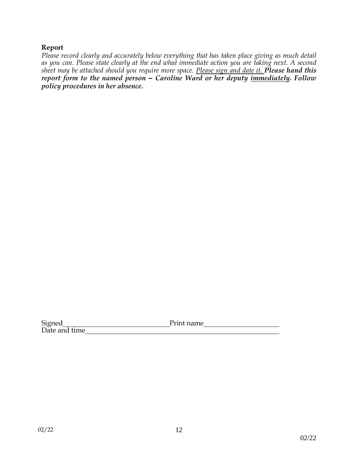### **Report**

*Please record clearly and accurately below everything that has taken place giving as much detail as you can. Please state clearly at the end what immediate action you are taking next. A second sheet may be attached should you require more space. Please sign and date it. Please hand this report form to the named person – Caroline Ward or her deputy immediately. Follow policy procedures in her absence.*

Signed Print name Date and time\_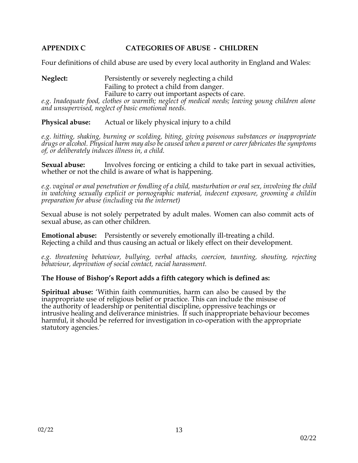# **APPENDIX C CATEGORIES OF ABUSE - CHILDREN**

Four definitions of child abuse are used by every local authority in England and Wales:

**Neglect:** Persistently or severely neglecting a child Failing to protect a child from danger. Failure to carry out important aspects of care. *e.g. Inadequate food, clothes or warmth; neglect of medical needs; leaving young children alone and unsupervised, neglect of basic emotional needs.*

**Physical abuse:** Actual or likely physical injury to a child

*e.g. hitting, shaking, burning or scolding, biting, giving poisonous substances or inappropriate drugs or alcohol. Physical harm may also be caused when a parent or carer fabricates the symptoms of, or deliberately induces illness in, a child.*

**Sexual abuse:** Involves forcing or enticing a child to take part in sexual activities, whether or not the child is aware of what is happening.

*e.g. vaginal or anal penetration or fondling of a child, masturbation or oral sex, involving the child in watching sexually explicit or pornographic material, indecent exposure, grooming a childin preparation for abuse (including via the internet)*

Sexual abuse is not solely perpetrated by adult males. Women can also commit acts of sexual abuse, as can other children.

**Emotional abuse:** Persistently or severely emotionally ill-treating a child. Rejecting a child and thus causing an actual or likely effect on their development.

*e.g. threatening behaviour, bullying, verbal attacks, coercion, taunting, shouting, rejecting behaviour, deprivation of social contact, racial harassment.*

#### **The House of Bishop's Report adds a fifth category which is defined as:**

**Spiritual abuse:** 'Within faith communities, harm can also be caused by the inappropriate use of religious belief or practice. This can include the misuse of the authority of leadership or penitential discipline, oppressive teachings or intrusive healing and deliverance ministries. If such inappropriate behaviour becomes harmful, it should be referred for investigation in co-operation with the appropriate statutory agencies.'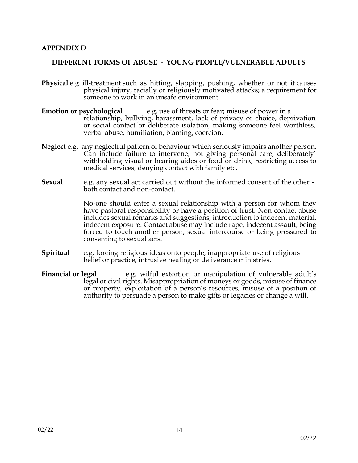#### **APPENDIX D**

#### **DIFFERENT FORMS OF ABUSE - YOUNG PEOPLE/VULNERABLE ADULTS**

- **Physical** e.g. ill-treatment such as hitting, slapping, pushing, whether or not it causes physical injury; racially or religiously motivated attacks; a requirement for someone to work in an unsafe environment.
- **Emotion or psychological** e.g. use of threats or fear; misuse of power in a relationship, bullying, harassment, lack of privacy or choice, deprivation or social contact or deliberate isolation, making someone feel worthless, verbal abuse, humiliation, blaming, coercion.
- **Neglect** e.g. any neglectful pattern of behaviour which seriously impairs another person. Can include failure to intervene, not giving personal care, deliberately` withholding visual or hearing aides or food or drink, restricting access to medical services, denying contact with family etc.
- **Sexual** e.g. any sexual act carried out without the informed consent of the other both contact and non-contact.

No-one should enter a sexual relationship with a person for whom they have pastoral responsibility or have a position of trust. Non-contact abuse includes sexual remarks and suggestions, introduction to indecent material, indecent exposure. Contact abuse may include rape, indecent assault, being forced to touch another person, sexual intercourse or being pressured to consenting to sexual acts.

- **Spiritual** e.g. forcing religious ideas onto people, inappropriate use of religious belief or practice, intrusive healing or deliverance ministries.
- **Financial or legal** e.g. wilful extortion or manipulation of vulnerable adult's legal or civil rights. Misappropriation of moneys or goods, misuse of finance or property, exploitation of a person's resources, misuse of a position of authority to persuade a person to make gifts or legacies or change a will.